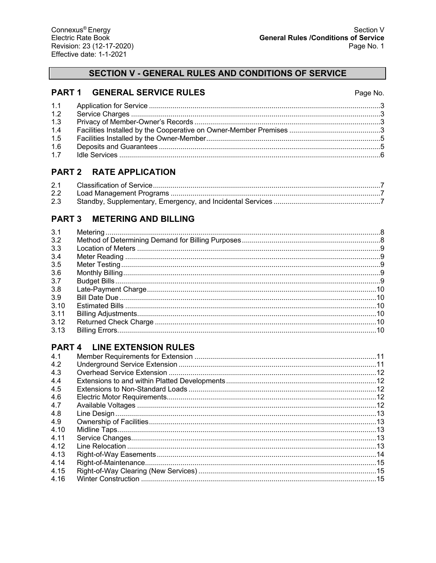## **PART 1 GENERAL SERVICE RULES**

| 1.2 |  |
|-----|--|
| 1.3 |  |
| 1.4 |  |
| 1.5 |  |
| 1.6 |  |
| 1.7 |  |
|     |  |

# **PART 2 RATE APPLICATION**

| 2.1           |  |
|---------------|--|
| $2.2^{\circ}$ |  |
| 2.3           |  |

# **PART 3 METERING AND BILLING**

| 3.1  |  |
|------|--|
| 3.2  |  |
| 3.3  |  |
| 3.4  |  |
| 3.5  |  |
| 3.6  |  |
| 3.7  |  |
| 3.8  |  |
| 3.9  |  |
| 3.10 |  |
| 3.11 |  |
| 3.12 |  |
| 3.13 |  |
|      |  |

# **PART 4 LINE EXTENSION RULES**

| 4.1   |  |
|-------|--|
| 4.2   |  |
| 4.3   |  |
| 4.4   |  |
| 4.5   |  |
| 4.6   |  |
| 4.7   |  |
| 4.8   |  |
| 4.9   |  |
| 4.10  |  |
| 4 1 1 |  |
| 4.12  |  |
| 4.13  |  |
| 4.14  |  |
| 4.15  |  |
| 4.16  |  |
|       |  |

## Page No.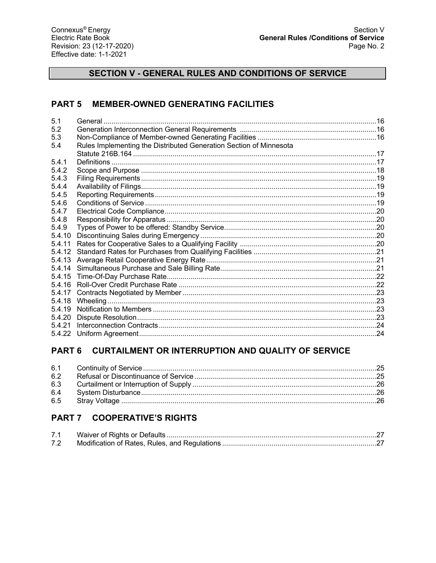# **PART 5 MEMBER-OWNED GENERATING FACILITIES**

| 5.2<br>5.3<br>Rules Implementing the Distributed Generation Section of Minnesota<br>5.4<br>5.4.1<br>5.4.2<br>5.4.3<br>5.4.4<br>5.4.5<br>5.4.6<br>5.4.7<br>5.4.8<br>5.4.9<br>5.4.10<br>5.4.11<br>5.4.12<br>5.4.13<br>5.4.14<br>5.4.15<br>5.4.16<br>5.4.17<br>5.4.18<br>5.4.19<br>5.4.20 | 5.1    |  |
|----------------------------------------------------------------------------------------------------------------------------------------------------------------------------------------------------------------------------------------------------------------------------------------|--------|--|
|                                                                                                                                                                                                                                                                                        |        |  |
|                                                                                                                                                                                                                                                                                        |        |  |
|                                                                                                                                                                                                                                                                                        |        |  |
|                                                                                                                                                                                                                                                                                        |        |  |
|                                                                                                                                                                                                                                                                                        |        |  |
|                                                                                                                                                                                                                                                                                        |        |  |
|                                                                                                                                                                                                                                                                                        |        |  |
|                                                                                                                                                                                                                                                                                        |        |  |
|                                                                                                                                                                                                                                                                                        |        |  |
|                                                                                                                                                                                                                                                                                        |        |  |
|                                                                                                                                                                                                                                                                                        |        |  |
|                                                                                                                                                                                                                                                                                        |        |  |
|                                                                                                                                                                                                                                                                                        |        |  |
|                                                                                                                                                                                                                                                                                        |        |  |
|                                                                                                                                                                                                                                                                                        |        |  |
|                                                                                                                                                                                                                                                                                        |        |  |
|                                                                                                                                                                                                                                                                                        |        |  |
|                                                                                                                                                                                                                                                                                        |        |  |
|                                                                                                                                                                                                                                                                                        |        |  |
|                                                                                                                                                                                                                                                                                        |        |  |
|                                                                                                                                                                                                                                                                                        |        |  |
|                                                                                                                                                                                                                                                                                        |        |  |
|                                                                                                                                                                                                                                                                                        |        |  |
|                                                                                                                                                                                                                                                                                        |        |  |
|                                                                                                                                                                                                                                                                                        | 5.4.21 |  |
|                                                                                                                                                                                                                                                                                        |        |  |

# PART 6 CURTAILMENT OR INTERRUPTION AND QUALITY OF SERVICE

| 6.2 |  |
|-----|--|
|     |  |
| 6.4 |  |
| 6.5 |  |

# PART 7 COOPERATIVE'S RIGHTS

| 7.1 |  |
|-----|--|
| 7.2 |  |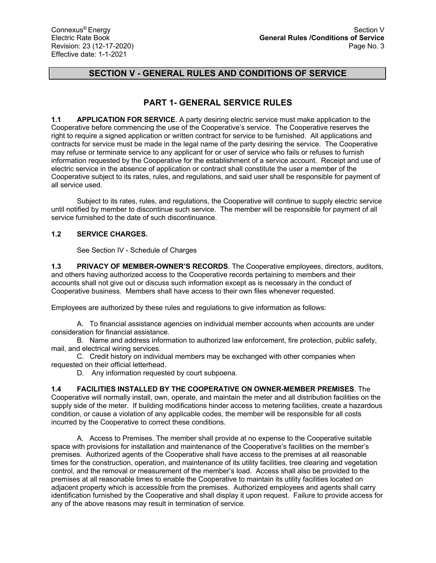# **PART 1- GENERAL SERVICE RULES**

**1.1 APPLICATION FOR SERVICE**. A party desiring electric service must make application to the Cooperative before commencing the use of the Cooperative's service. The Cooperative reserves the right to require a signed application or written contract for service to be furnished. All applications and contracts for service must be made in the legal name of the party desiring the service. The Cooperative may refuse or terminate service to any applicant for or user of service who fails or refuses to furnish information requested by the Cooperative for the establishment of a service account. Receipt and use of electric service in the absence of application or contract shall constitute the user a member of the Cooperative subject to its rates, rules, and regulations, and said user shall be responsible for payment of all service used.

Subject to its rates, rules, and regulations, the Cooperative will continue to supply electric service until notified by member to discontinue such service. The member will be responsible for payment of all service furnished to the date of such discontinuance.

## **1.2 SERVICE CHARGES.**

See Section IV - Schedule of Charges

**1.3 PRIVACY OF MEMBER-OWNER'S RECORDS**. The Cooperative employees, directors, auditors, and others having authorized access to the Cooperative records pertaining to members and their accounts shall not give out or discuss such information except as is necessary in the conduct of Cooperative business. Members shall have access to their own files whenever requested.

Employees are authorized by these rules and regulations to give information as follows:

A. To financial assistance agencies on individual member accounts when accounts are under consideration for financial assistance.

B. Name and address information to authorized law enforcement, fire protection, public safety, mail, and electrical wiring services.

C. Credit history on individual members may be exchanged with other companies when requested on their official letterhead.

D. Any information requested by court subpoena.

**1.4 FACILITIES INSTALLED BY THE COOPERATIVE ON OWNER-MEMBER PREMISES**. The Cooperative will normally install, own, operate, and maintain the meter and all distribution facilities on the supply side of the meter. If building modifications hinder access to metering facilities, create a hazardous condition, or cause a violation of any applicable codes, the member will be responsible for all costs incurred by the Cooperative to correct these conditions.

A. Access to Premises. The member shall provide at no expense to the Cooperative suitable space with provisions for installation and maintenance of the Cooperative's facilities on the member's premises. Authorized agents of the Cooperative shall have access to the premises at all reasonable times for the construction, operation, and maintenance of its utility facilities, tree clearing and vegetation control, and the removal or measurement of the member's load. Access shall also be provided to the premises at all reasonable times to enable the Cooperative to maintain its utility facilities located on adjacent property which is accessible from the premises. Authorized employees and agents shall carry identification furnished by the Cooperative and shall display it upon request. Failure to provide access for any of the above reasons may result in termination of service.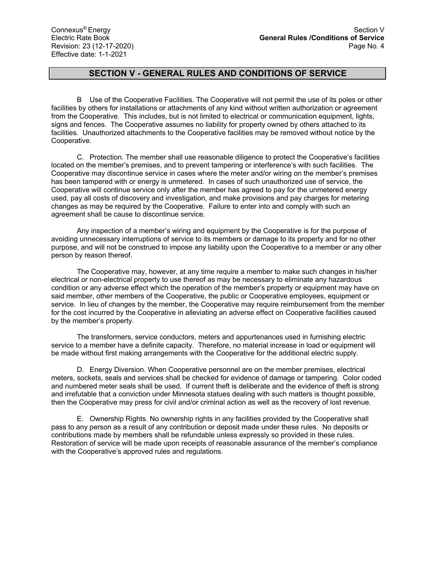B Use of the Cooperative Facilities. The Cooperative will not permit the use of its poles or other facilities by others for installations or attachments of any kind without written authorization or agreement from the Cooperative. This includes, but is not limited to electrical or communication equipment, lights, signs and fences. The Cooperative assumes no liability for property owned by others attached to its facilities. Unauthorized attachments to the Cooperative facilities may be removed without notice by the Cooperative.

C. Protection. The member shall use reasonable diligence to protect the Cooperative's facilities located on the member's premises, and to prevent tampering or interference's with such facilities. The Cooperative may discontinue service in cases where the meter and/or wiring on the member's premises has been tampered with or energy is unmetered. In cases of such unauthorized use of service, the Cooperative will continue service only after the member has agreed to pay for the unmetered energy used, pay all costs of discovery and investigation, and make provisions and pay charges for metering changes as may be required by the Cooperative. Failure to enter into and comply with such an agreement shall be cause to discontinue service.

Any inspection of a member's wiring and equipment by the Cooperative is for the purpose of avoiding unnecessary interruptions of service to its members or damage to its property and for no other purpose, and will not be construed to impose any liability upon the Cooperative to a member or any other person by reason thereof.

The Cooperative may, however, at any time require a member to make such changes in his/her electrical or non-electrical property to use thereof as may be necessary to eliminate any hazardous condition or any adverse effect which the operation of the member's property or equipment may have on said member, other members of the Cooperative, the public or Cooperative employees, equipment or service. In lieu of changes by the member, the Cooperative may require reimbursement from the member for the cost incurred by the Cooperative in alleviating an adverse effect on Cooperative facilities caused by the member's property.

The transformers, service conductors, meters and appurtenances used in furnishing electric service to a member have a definite capacity. Therefore, no material increase in load or equipment will be made without first making arrangements with the Cooperative for the additional electric supply.

D. Energy Diversion. When Cooperative personnel are on the member premises, electrical meters, sockets, seals and services shall be checked for evidence of damage or tampering. Color coded and numbered meter seals shall be used. If current theft is deliberate and the evidence of theft is strong and irrefutable that a conviction under Minnesota statues dealing with such matters is thought possible, then the Cooperative may press for civil and/or criminal action as well as the recovery of lost revenue.

E. Ownership Rights. No ownership rights in any facilities provided by the Cooperative shall pass to any person as a result of any contribution or deposit made under these rules. No deposits or contributions made by members shall be refundable unless expressly so provided in these rules. Restoration of service will be made upon receipts of reasonable assurance of the member's compliance with the Cooperative's approved rules and regulations.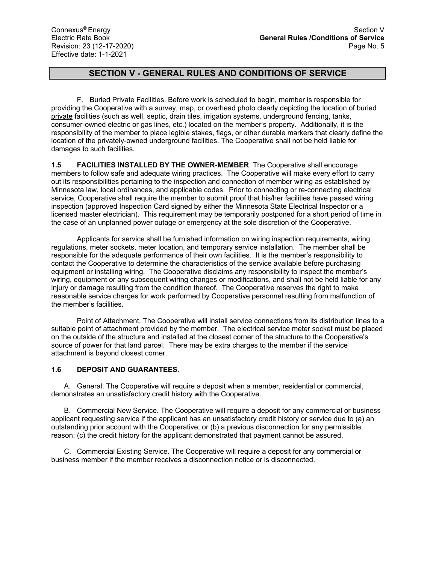F. Buried Private Facilities. Before work is scheduled to begin, member is responsible for providing the Cooperative with a survey, map, or overhead photo clearly depicting the location of buried private facilities (such as well, septic, drain tiles, irrigation systems, underground fencing, tanks, consumer-owned electric or gas lines, etc.) located on the member's property. Additionally, it is the responsibility of the member to place legible stakes, flags, or other durable markers that clearly define the location of the privately-owned underground facilities. The Cooperative shall not be held liable for damages to such facilities.

**1.5 FACILITIES INSTALLED BY THE OWNER-MEMBER**. The Cooperative shall encourage members to follow safe and adequate wiring practices. The Cooperative will make every effort to carry out its responsibilities pertaining to the inspection and connection of member wiring as established by Minnesota law, local ordinances, and applicable codes. Prior to connecting or re-connecting electrical service, Cooperative shall require the member to submit proof that his/her facilities have passed wiring inspection (approved Inspection Card signed by either the Minnesota State Electrical Inspector or a licensed master electrician). This requirement may be temporarily postponed for a short period of time in the case of an unplanned power outage or emergency at the sole discretion of the Cooperative.

Applicants for service shall be furnished information on wiring inspection requirements, wiring regulations, meter sockets, meter location, and temporary service installation. The member shall be responsible for the adequate performance of their own facilities. It is the member's responsibility to contact the Cooperative to determine the characteristics of the service available before purchasing equipment or installing wiring. The Cooperative disclaims any responsibility to inspect the member's wiring, equipment or any subsequent wiring changes or modifications, and shall not be held liable for any injury or damage resulting from the condition thereof. The Cooperative reserves the right to make reasonable service charges for work performed by Cooperative personnel resulting from malfunction of the member's facilities.

Point of Attachment. The Cooperative will install service connections from its distribution lines to a suitable point of attachment provided by the member. The electrical service meter socket must be placed on the outside of the structure and installed at the closest corner of the structure to the Cooperative's source of power for that land parcel. There may be extra charges to the member if the service attachment is beyond closest corner.

### **1.6 DEPOSIT AND GUARANTEES**.

A. General. The Cooperative will require a deposit when a member, residential or commercial, demonstrates an unsatisfactory credit history with the Cooperative.

B. Commercial New Service. The Cooperative will require a deposit for any commercial or business applicant requesting service if the applicant has an unsatisfactory credit history or service due to (a) an outstanding prior account with the Cooperative; or (b) a previous disconnection for any permissible reason; (c) the credit history for the applicant demonstrated that payment cannot be assured.

C. Commercial Existing Service. The Cooperative will require a deposit for any commercial or business member if the member receives a disconnection notice or is disconnected.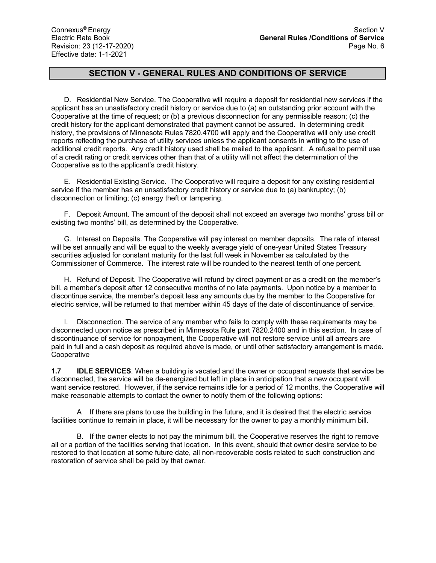D. Residential New Service. The Cooperative will require a deposit for residential new services if the applicant has an unsatisfactory credit history or service due to (a) an outstanding prior account with the Cooperative at the time of request; or (b) a previous disconnection for any permissible reason; (c) the credit history for the applicant demonstrated that payment cannot be assured. In determining credit history, the provisions of Minnesota Rules 7820.4700 will apply and the Cooperative will only use credit reports reflecting the purchase of utility services unless the applicant consents in writing to the use of additional credit reports. Any credit history used shall be mailed to the applicant. A refusal to permit use of a credit rating or credit services other than that of a utility will not affect the determination of the Cooperative as to the applicant's credit history.

E. Residential Existing Service. The Cooperative will require a deposit for any existing residential service if the member has an unsatisfactory credit history or service due to (a) bankruptcy; (b) disconnection or limiting; (c) energy theft or tampering.

F. Deposit Amount. The amount of the deposit shall not exceed an average two months' gross bill or existing two months' bill, as determined by the Cooperative.

G. Interest on Deposits. The Cooperative will pay interest on member deposits. The rate of interest will be set annually and will be equal to the weekly average yield of one-year United States Treasury securities adjusted for constant maturity for the last full week in November as calculated by the Commissioner of Commerce. The interest rate will be rounded to the nearest tenth of one percent.

H. Refund of Deposit. The Cooperative will refund by direct payment or as a credit on the member's bill, a member's deposit after 12 consecutive months of no late payments. Upon notice by a member to discontinue service, the member's deposit less any amounts due by the member to the Cooperative for electric service, will be returned to that member within 45 days of the date of discontinuance of service.

I. Disconnection. The service of any member who fails to comply with these requirements may be disconnected upon notice as prescribed in Minnesota Rule part 7820.2400 and in this section. In case of discontinuance of service for nonpayment, the Cooperative will not restore service until all arrears are paid in full and a cash deposit as required above is made, or until other satisfactory arrangement is made. Cooperative

**1.7 IDLE SERVICES**. When a building is vacated and the owner or occupant requests that service be disconnected, the service will be de-energized but left in place in anticipation that a new occupant will want service restored. However, if the service remains idle for a period of 12 months, the Cooperative will make reasonable attempts to contact the owner to notify them of the following options:

A If there are plans to use the building in the future, and it is desired that the electric service facilities continue to remain in place, it will be necessary for the owner to pay a monthly minimum bill.

B. If the owner elects to not pay the minimum bill, the Cooperative reserves the right to remove all or a portion of the facilities serving that location. In this event, should that owner desire service to be restored to that location at some future date, all non-recoverable costs related to such construction and restoration of service shall be paid by that owner.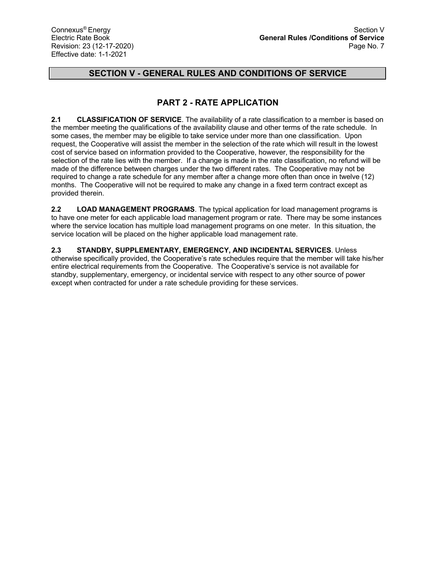# **PART 2 - RATE APPLICATION**

**2.1 CLASSIFICATION OF SERVICE**. The availability of a rate classification to a member is based on the member meeting the qualifications of the availability clause and other terms of the rate schedule. In some cases, the member may be eligible to take service under more than one classification. Upon request, the Cooperative will assist the member in the selection of the rate which will result in the lowest cost of service based on information provided to the Cooperative, however, the responsibility for the selection of the rate lies with the member. If a change is made in the rate classification, no refund will be made of the difference between charges under the two different rates. The Cooperative may not be required to change a rate schedule for any member after a change more often than once in twelve (12) months. The Cooperative will not be required to make any change in a fixed term contract except as provided therein.

**2.2 LOAD MANAGEMENT PROGRAMS**. The typical application for load management programs is to have one meter for each applicable load management program or rate. There may be some instances where the service location has multiple load management programs on one meter. In this situation, the service location will be placed on the higher applicable load management rate.

**2.3 STANDBY, SUPPLEMENTARY, EMERGENCY, AND INCIDENTAL SERVICES**. Unless otherwise specifically provided, the Cooperative's rate schedules require that the member will take his/her entire electrical requirements from the Cooperative. The Cooperative's service is not available for standby, supplementary, emergency, or incidental service with respect to any other source of power except when contracted for under a rate schedule providing for these services.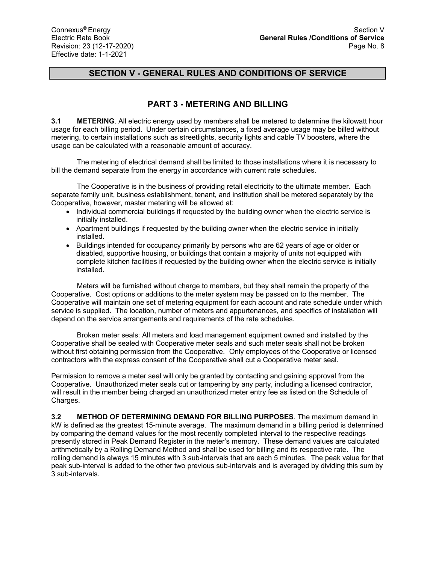# **PART 3 - METERING AND BILLING**

**3.1 METERING**. All electric energy used by members shall be metered to determine the kilowatt hour usage for each billing period. Under certain circumstances, a fixed average usage may be billed without metering, to certain installations such as streetlights, security lights and cable TV boosters, where the usage can be calculated with a reasonable amount of accuracy.

The metering of electrical demand shall be limited to those installations where it is necessary to bill the demand separate from the energy in accordance with current rate schedules.

The Cooperative is in the business of providing retail electricity to the ultimate member. Each separate family unit, business establishment, tenant, and institution shall be metered separately by the Cooperative, however, master metering will be allowed at:

- Individual commercial buildings if requested by the building owner when the electric service is initially installed.
- Apartment buildings if requested by the building owner when the electric service in initially installed.
- Buildings intended for occupancy primarily by persons who are 62 years of age or older or disabled, supportive housing, or buildings that contain a majority of units not equipped with complete kitchen facilities if requested by the building owner when the electric service is initially installed.

Meters will be furnished without charge to members, but they shall remain the property of the Cooperative. Cost options or additions to the meter system may be passed on to the member. The Cooperative will maintain one set of metering equipment for each account and rate schedule under which service is supplied. The location, number of meters and appurtenances, and specifics of installation will depend on the service arrangements and requirements of the rate schedules.

Broken meter seals: All meters and load management equipment owned and installed by the Cooperative shall be sealed with Cooperative meter seals and such meter seals shall not be broken without first obtaining permission from the Cooperative. Only employees of the Cooperative or licensed contractors with the express consent of the Cooperative shall cut a Cooperative meter seal.

Permission to remove a meter seal will only be granted by contacting and gaining approval from the Cooperative. Unauthorized meter seals cut or tampering by any party, including a licensed contractor, will result in the member being charged an unauthorized meter entry fee as listed on the Schedule of Charges.

**3.2 METHOD OF DETERMINING DEMAND FOR BILLING PURPOSES**. The maximum demand in kW is defined as the greatest 15-minute average. The maximum demand in a billing period is determined by comparing the demand values for the most recently completed interval to the respective readings presently stored in Peak Demand Register in the meter's memory. These demand values are calculated arithmetically by a Rolling Demand Method and shall be used for billing and its respective rate. The rolling demand is always 15 minutes with 3 sub-intervals that are each 5 minutes. The peak value for that peak sub-interval is added to the other two previous sub-intervals and is averaged by dividing this sum by 3 sub-intervals.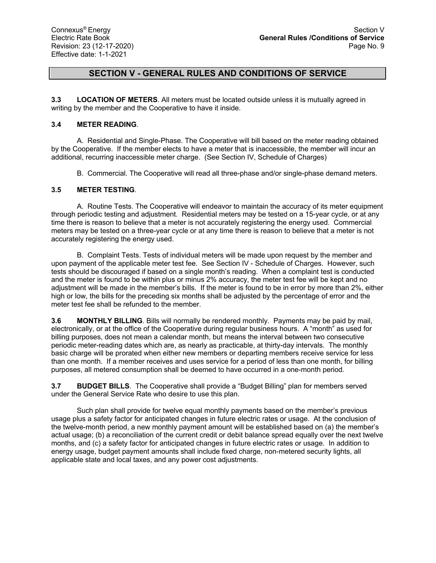**3.3 LOCATION OF METERS**. All meters must be located outside unless it is mutually agreed in writing by the member and the Cooperative to have it inside.

#### **3.4 METER READING**.

A. Residential and Single-Phase. The Cooperative will bill based on the meter reading obtained by the Cooperative. If the member elects to have a meter that is inaccessible, the member will incur an additional, recurring inaccessible meter charge. (See Section IV, Schedule of Charges)

B. Commercial. The Cooperative will read all three-phase and/or single-phase demand meters.

#### **3.5 METER TESTING**.

A. Routine Tests. The Cooperative will endeavor to maintain the accuracy of its meter equipment through periodic testing and adjustment. Residential meters may be tested on a 15-year cycle, or at any time there is reason to believe that a meter is not accurately registering the energy used. Commercial meters may be tested on a three-year cycle or at any time there is reason to believe that a meter is not accurately registering the energy used.

B. Complaint Tests. Tests of individual meters will be made upon request by the member and upon payment of the applicable meter test fee. See Section IV - Schedule of Charges. However, such tests should be discouraged if based on a single month's reading. When a complaint test is conducted and the meter is found to be within plus or minus 2% accuracy, the meter test fee will be kept and no adjustment will be made in the member's bills. If the meter is found to be in error by more than 2%, either high or low, the bills for the preceding six months shall be adjusted by the percentage of error and the meter test fee shall be refunded to the member.

**3.6 MONTHLY BILLING**. Bills will normally be rendered monthly. Payments may be paid by mail, electronically, or at the office of the Cooperative during regular business hours. A "month" as used for billing purposes, does not mean a calendar month, but means the interval between two consecutive periodic meter-reading dates which are, as nearly as practicable, at thirty-day intervals. The monthly basic charge will be prorated when either new members or departing members receive service for less than one month. If a member receives and uses service for a period of less than one month, for billing purposes, all metered consumption shall be deemed to have occurred in a one-month period.

**3.7 BUDGET BILLS**. The Cooperative shall provide a "Budget Billing" plan for members served under the General Service Rate who desire to use this plan.

Such plan shall provide for twelve equal monthly payments based on the member's previous usage plus a safety factor for anticipated changes in future electric rates or usage. At the conclusion of the twelve-month period, a new monthly payment amount will be established based on (a) the member's actual usage; (b) a reconciliation of the current credit or debit balance spread equally over the next twelve months, and (c) a safety factor for anticipated changes in future electric rates or usage. In addition to energy usage, budget payment amounts shall include fixed charge, non-metered security lights, all applicable state and local taxes, and any power cost adjustments.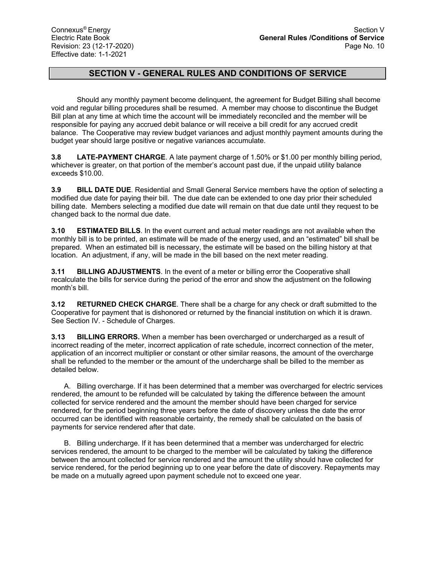Should any monthly payment become delinquent, the agreement for Budget Billing shall become void and regular billing procedures shall be resumed. A member may choose to discontinue the Budget Bill plan at any time at which time the account will be immediately reconciled and the member will be responsible for paying any accrued debit balance or will receive a bill credit for any accrued credit balance. The Cooperative may review budget variances and adjust monthly payment amounts during the budget year should large positive or negative variances accumulate.

**3.8 LATE-PAYMENT CHARGE**. A late payment charge of 1.50% or \$1.00 per monthly billing period, whichever is greater, on that portion of the member's account past due, if the unpaid utility balance exceeds \$10.00.

**3.9 BILL DATE DUE**. Residential and Small General Service members have the option of selecting a modified due date for paying their bill. The due date can be extended to one day prior their scheduled billing date. Members selecting a modified due date will remain on that due date until they request to be changed back to the normal due date.

**3.10 ESTIMATED BILLS**. In the event current and actual meter readings are not available when the monthly bill is to be printed, an estimate will be made of the energy used, and an "estimated" bill shall be prepared. When an estimated bill is necessary, the estimate will be based on the billing history at that location. An adjustment, if any, will be made in the bill based on the next meter reading.

**3.11 BILLING ADJUSTMENTS**. In the event of a meter or billing error the Cooperative shall recalculate the bills for service during the period of the error and show the adjustment on the following month's bill.

**3.12 RETURNED CHECK CHARGE**. There shall be a charge for any check or draft submitted to the Cooperative for payment that is dishonored or returned by the financial institution on which it is drawn. See Section IV. - Schedule of Charges.

**3.13 BILLING ERRORS.** When a member has been overcharged or undercharged as a result of incorrect reading of the meter, incorrect application of rate schedule, incorrect connection of the meter, application of an incorrect multiplier or constant or other similar reasons, the amount of the overcharge shall be refunded to the member or the amount of the undercharge shall be billed to the member as detailed below.

A. Billing overcharge. If it has been determined that a member was overcharged for electric services rendered, the amount to be refunded will be calculated by taking the difference between the amount collected for service rendered and the amount the member should have been charged for service rendered, for the period beginning three years before the date of discovery unless the date the error occurred can be identified with reasonable certainty, the remedy shall be calculated on the basis of payments for service rendered after that date.

B. Billing undercharge. If it has been determined that a member was undercharged for electric services rendered, the amount to be charged to the member will be calculated by taking the difference between the amount collected for service rendered and the amount the utility should have collected for service rendered, for the period beginning up to one year before the date of discovery. Repayments may be made on a mutually agreed upon payment schedule not to exceed one year.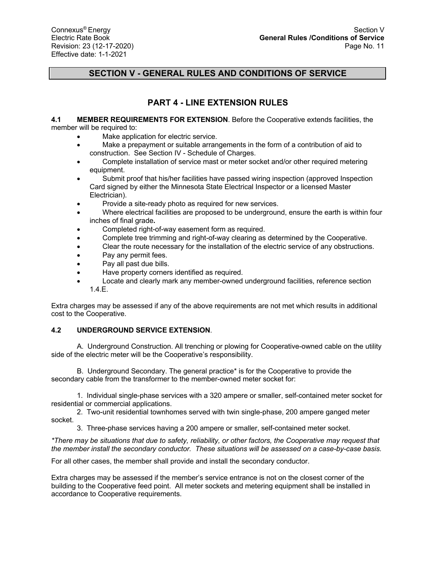# **PART 4 - LINE EXTENSION RULES**

#### **4.1 MEMBER REQUIREMENTS FOR EXTENSION**. Before the Cooperative extends facilities, the member will be required to:

- Make application for electric service.
- Make a prepayment or suitable arrangements in the form of a contribution of aid to construction. See Section IV - Schedule of Charges.
- Complete installation of service mast or meter socket and/or other required metering equipment.
- Submit proof that his/her facilities have passed wiring inspection (approved Inspection Card signed by either the Minnesota State Electrical Inspector or a licensed Master Electrician).
- Provide a site-ready photo as required for new services.
- Where electrical facilities are proposed to be underground, ensure the earth is within four inches of final grade**.**
- Completed right-of-way easement form as required.
- Complete tree trimming and right-of-way clearing as determined by the Cooperative.
- Clear the route necessary for the installation of the electric service of any obstructions.
- Pay any permit fees.
- Pay all past due bills.
- Have property corners identified as required.
- Locate and clearly mark any member-owned underground facilities, reference section 1.4.E.

Extra charges may be assessed if any of the above requirements are not met which results in additional cost to the Cooperative.

## **4.2 UNDERGROUND SERVICE EXTENSION**.

A. Underground Construction. All trenching or plowing for Cooperative-owned cable on the utility side of the electric meter will be the Cooperative's responsibility.

 B. Underground Secondary. The general practice\* is for the Cooperative to provide the secondary cable from the transformer to the member-owned meter socket for:

1. Individual single-phase services with a 320 ampere or smaller, self-contained meter socket for residential or commercial applications.

2. Two-unit residential townhomes served with twin single-phase, 200 ampere ganged meter socket.

3. Three-phase services having a 200 ampere or smaller, self-contained meter socket.

*\*There may be situations that due to safety, reliability, or other factors, the Cooperative may request that the member install the secondary conductor. These situations will be assessed on a case-by-case basis.* 

For all other cases, the member shall provide and install the secondary conductor.

Extra charges may be assessed if the member's service entrance is not on the closest corner of the building to the Cooperative feed point. All meter sockets and metering equipment shall be installed in accordance to Cooperative requirements.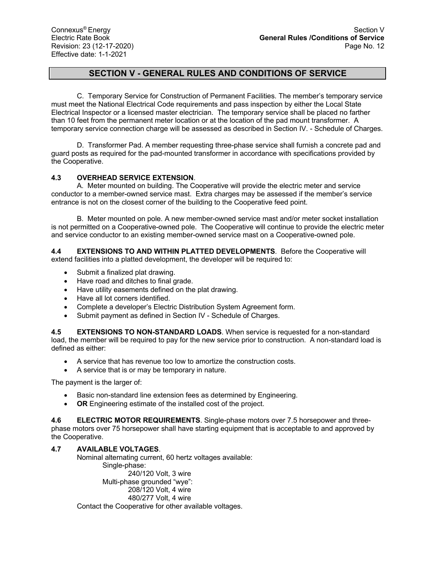C. Temporary Service for Construction of Permanent Facilities. The member's temporary service must meet the National Electrical Code requirements and pass inspection by either the Local State Electrical Inspector or a licensed master electrician. The temporary service shall be placed no farther than 10 feet from the permanent meter location or at the location of the pad mount transformer. A temporary service connection charge will be assessed as described in Section IV. - Schedule of Charges.

D. Transformer Pad. A member requesting three-phase service shall furnish a concrete pad and guard posts as required for the pad-mounted transformer in accordance with specifications provided by the Cooperative.

### **4.3 OVERHEAD SERVICE EXTENSION**.

A. Meter mounted on building. The Cooperative will provide the electric meter and service conductor to a member-owned service mast. Extra charges may be assessed if the member's service entrance is not on the closest corner of the building to the Cooperative feed point.

B. Meter mounted on pole. A new member-owned service mast and/or meter socket installation is not permitted on a Cooperative-owned pole. The Cooperative will continue to provide the electric meter and service conductor to an existing member-owned service mast on a Cooperative-owned pole.

**4.4 EXTENSIONS TO AND WITHIN PLATTED DEVELOPMENTS**. Before the Cooperative will extend facilities into a platted development, the developer will be required to:

- Submit a finalized plat drawing.
- Have road and ditches to final grade.
- Have utility easements defined on the plat drawing.
- Have all lot corners identified.
- Complete a developer's Electric Distribution System Agreement form.
- Submit payment as defined in Section IV Schedule of Charges.

**4.5 EXTENSIONS TO NON-STANDARD LOADS**. When service is requested for a non-standard load, the member will be required to pay for the new service prior to construction. A non-standard load is defined as either:

- A service that has revenue too low to amortize the construction costs.
- A service that is or may be temporary in nature.

The payment is the larger of:

- Basic non-standard line extension fees as determined by Engineering.
- **OR** Engineering estimate of the installed cost of the project.

**4.6 ELECTRIC MOTOR REQUIREMENTS**. Single-phase motors over 7.5 horsepower and threephase motors over 75 horsepower shall have starting equipment that is acceptable to and approved by the Cooperative.

### **4.7 AVAILABLE VOLTAGES**.

Nominal alternating current, 60 hertz voltages available: Single-phase: 240/120 Volt, 3 wire Multi-phase grounded "wye": 208/120 Volt, 4 wire 480/277 Volt, 4 wire Contact the Cooperative for other available voltages.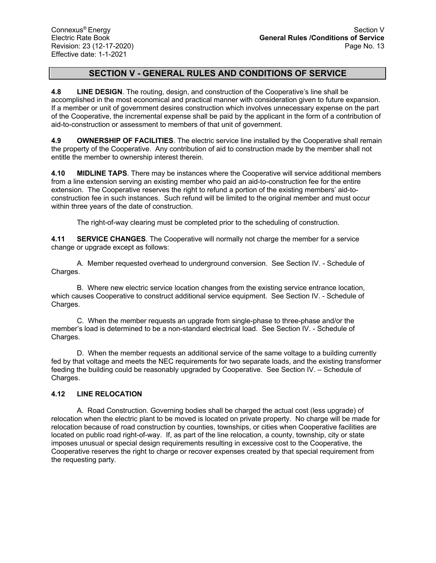**4.8 LINE DESIGN**. The routing, design, and construction of the Cooperative's line shall be accomplished in the most economical and practical manner with consideration given to future expansion. If a member or unit of government desires construction which involves unnecessary expense on the part of the Cooperative, the incremental expense shall be paid by the applicant in the form of a contribution of aid-to-construction or assessment to members of that unit of government.

**4.9 OWNERSHIP OF FACILITIES**. The electric service line installed by the Cooperative shall remain the property of the Cooperative. Any contribution of aid to construction made by the member shall not entitle the member to ownership interest therein.

**4.10 MIDLINE TAPS**. There may be instances where the Cooperative will service additional members from a line extension serving an existing member who paid an aid-to-construction fee for the entire extension. The Cooperative reserves the right to refund a portion of the existing members' aid-toconstruction fee in such instances. Such refund will be limited to the original member and must occur within three years of the date of construction.

The right-of-way clearing must be completed prior to the scheduling of construction.

**4.11 SERVICE CHANGES**. The Cooperative will normally not charge the member for a service change or upgrade except as follows:

A. Member requested overhead to underground conversion. See Section IV. - Schedule of Charges.

B. Where new electric service location changes from the existing service entrance location, which causes Cooperative to construct additional service equipment. See Section IV. - Schedule of Charges.

C. When the member requests an upgrade from single-phase to three-phase and/or the member's load is determined to be a non-standard electrical load. See Section IV. - Schedule of Charges.

D. When the member requests an additional service of the same voltage to a building currently fed by that voltage and meets the NEC requirements for two separate loads, and the existing transformer feeding the building could be reasonably upgraded by Cooperative. See Section IV. – Schedule of Charges.

## **4.12 LINE RELOCATION**

A. Road Construction. Governing bodies shall be charged the actual cost (less upgrade) of relocation when the electric plant to be moved is located on private property. No charge will be made for relocation because of road construction by counties, townships, or cities when Cooperative facilities are located on public road right-of-way. If, as part of the line relocation, a county, township, city or state imposes unusual or special design requirements resulting in excessive cost to the Cooperative, the Cooperative reserves the right to charge or recover expenses created by that special requirement from the requesting party.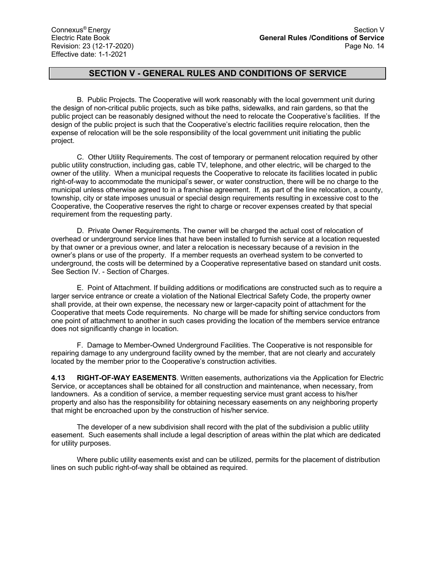B. Public Projects. The Cooperative will work reasonably with the local government unit during the design of non-critical public projects, such as bike paths, sidewalks, and rain gardens, so that the public project can be reasonably designed without the need to relocate the Cooperative's facilities. If the design of the public project is such that the Cooperative's electric facilities require relocation, then the expense of relocation will be the sole responsibility of the local government unit initiating the public project.

C. Other Utility Requirements. The cost of temporary or permanent relocation required by other public utility construction, including gas, cable TV, telephone, and other electric, will be charged to the owner of the utility. When a municipal requests the Cooperative to relocate its facilities located in public right-of-way to accommodate the municipal's sewer, or water construction, there will be no charge to the municipal unless otherwise agreed to in a franchise agreement. If, as part of the line relocation, a county, township, city or state imposes unusual or special design requirements resulting in excessive cost to the Cooperative, the Cooperative reserves the right to charge or recover expenses created by that special requirement from the requesting party.

D. Private Owner Requirements. The owner will be charged the actual cost of relocation of overhead or underground service lines that have been installed to furnish service at a location requested by that owner or a previous owner, and later a relocation is necessary because of a revision in the owner's plans or use of the property. If a member requests an overhead system to be converted to underground, the costs will be determined by a Cooperative representative based on standard unit costs. See Section IV. - Section of Charges.

E. Point of Attachment. If building additions or modifications are constructed such as to require a larger service entrance or create a violation of the National Electrical Safety Code, the property owner shall provide, at their own expense, the necessary new or larger-capacity point of attachment for the Cooperative that meets Code requirements. No charge will be made for shifting service conductors from one point of attachment to another in such cases providing the location of the members service entrance does not significantly change in location.

F. Damage to Member-Owned Underground Facilities. The Cooperative is not responsible for repairing damage to any underground facility owned by the member, that are not clearly and accurately located by the member prior to the Cooperative's construction activities.

**4.13 RIGHT-OF-WAY EASEMENTS**. Written easements, authorizations via the Application for Electric Service, or acceptances shall be obtained for all construction and maintenance, when necessary, from landowners. As a condition of service, a member requesting service must grant access to his/her property and also has the responsibility for obtaining necessary easements on any neighboring property that might be encroached upon by the construction of his/her service.

The developer of a new subdivision shall record with the plat of the subdivision a public utility easement. Such easements shall include a legal description of areas within the plat which are dedicated for utility purposes.

Where public utility easements exist and can be utilized, permits for the placement of distribution lines on such public right-of-way shall be obtained as required.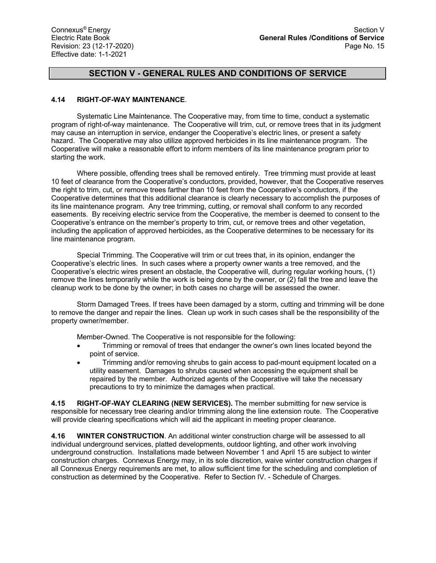### **4.14 RIGHT-OF-WAY MAINTENANCE**.

Systematic Line Maintenance. The Cooperative may, from time to time, conduct a systematic program of right-of-way maintenance. The Cooperative will trim, cut, or remove trees that in its judgment may cause an interruption in service, endanger the Cooperative's electric lines, or present a safety hazard. The Cooperative may also utilize approved herbicides in its line maintenance program. The Cooperative will make a reasonable effort to inform members of its line maintenance program prior to starting the work.

Where possible, offending trees shall be removed entirely. Tree trimming must provide at least 10 feet of clearance from the Cooperative's conductors, provided, however, that the Cooperative reserves the right to trim, cut, or remove trees farther than 10 feet from the Cooperative's conductors, if the Cooperative determines that this additional clearance is clearly necessary to accomplish the purposes of its line maintenance program. Any tree trimming, cutting, or removal shall conform to any recorded easements. By receiving electric service from the Cooperative, the member is deemed to consent to the Cooperative's entrance on the member's property to trim, cut, or remove trees and other vegetation, including the application of approved herbicides, as the Cooperative determines to be necessary for its line maintenance program.

Special Trimming. The Cooperative will trim or cut trees that, in its opinion, endanger the Cooperative's electric lines. In such cases where a property owner wants a tree removed, and the Cooperative's electric wires present an obstacle, the Cooperative will, during regular working hours, (1) remove the lines temporarily while the work is being done by the owner, or (2) fall the tree and leave the cleanup work to be done by the owner; in both cases no charge will be assessed the owner.

Storm Damaged Trees. If trees have been damaged by a storm, cutting and trimming will be done to remove the danger and repair the lines. Clean up work in such cases shall be the responsibility of the property owner/member.

Member-Owned. The Cooperative is not responsible for the following:

- Trimming or removal of trees that endanger the owner's own lines located beyond the point of service.
- Trimming and/or removing shrubs to gain access to pad-mount equipment located on a utility easement. Damages to shrubs caused when accessing the equipment shall be repaired by the member. Authorized agents of the Cooperative will take the necessary precautions to try to minimize the damages when practical.

**4.15 RIGHT-OF-WAY CLEARING (NEW SERVICES).** The member submitting for new service is responsible for necessary tree clearing and/or trimming along the line extension route. The Cooperative will provide clearing specifications which will aid the applicant in meeting proper clearance.

**4.16 WINTER CONSTRUCTION**. An additional winter construction charge will be assessed to all individual underground services, platted developments, outdoor lighting, and other work involving underground construction. Installations made between November 1 and April 15 are subject to winter construction charges. Connexus Energy may, in its sole discretion, waive winter construction charges if all Connexus Energy requirements are met, to allow sufficient time for the scheduling and completion of construction as determined by the Cooperative. Refer to Section IV. - Schedule of Charges.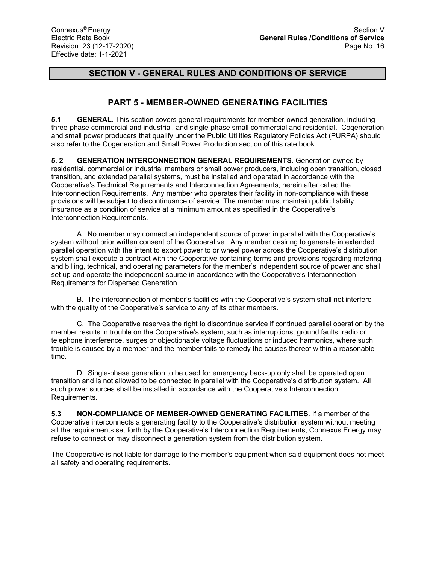# **PART 5 - MEMBER-OWNED GENERATING FACILITIES**

**5.1 GENERAL**. This section covers general requirements for member-owned generation, including three-phase commercial and industrial, and single-phase small commercial and residential. Cogeneration and small power producers that qualify under the Public Utilities Regulatory Policies Act (PURPA) should also refer to the Cogeneration and Small Power Production section of this rate book.

**5. 2 GENERATION INTERCONNECTION GENERAL REQUIREMENTS**. Generation owned by residential, commercial or industrial members or small power producers, including open transition, closed transition, and extended parallel systems, must be installed and operated in accordance with the Cooperative's Technical Requirements and Interconnection Agreements, herein after called the Interconnection Requirements. Any member who operates their facility in non-compliance with these provisions will be subject to discontinuance of service. The member must maintain public liability insurance as a condition of service at a minimum amount as specified in the Cooperative's Interconnection Requirements.

A. No member may connect an independent source of power in parallel with the Cooperative's system without prior written consent of the Cooperative. Any member desiring to generate in extended parallel operation with the intent to export power to or wheel power across the Cooperative's distribution system shall execute a contract with the Cooperative containing terms and provisions regarding metering and billing, technical, and operating parameters for the member's independent source of power and shall set up and operate the independent source in accordance with the Cooperative's Interconnection Requirements for Dispersed Generation.

B. The interconnection of member's facilities with the Cooperative's system shall not interfere with the quality of the Cooperative's service to any of its other members.

C. The Cooperative reserves the right to discontinue service if continued parallel operation by the member results in trouble on the Cooperative's system, such as interruptions, ground faults, radio or telephone interference, surges or objectionable voltage fluctuations or induced harmonics, where such trouble is caused by a member and the member fails to remedy the causes thereof within a reasonable time.

D. Single-phase generation to be used for emergency back-up only shall be operated open transition and is not allowed to be connected in parallel with the Cooperative's distribution system. All such power sources shall be installed in accordance with the Cooperative's Interconnection Requirements.

**5.3 NON-COMPLIANCE OF MEMBER-OWNED GENERATING FACILITIES**. If a member of the Cooperative interconnects a generating facility to the Cooperative's distribution system without meeting all the requirements set forth by the Cooperative's Interconnection Requirements, Connexus Energy may refuse to connect or may disconnect a generation system from the distribution system.

The Cooperative is not liable for damage to the member's equipment when said equipment does not meet all safety and operating requirements.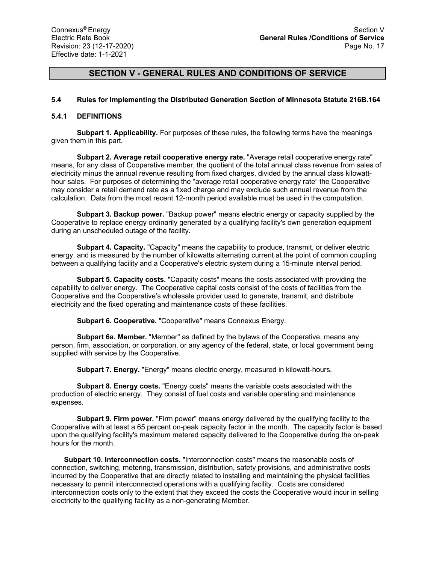#### **5.4 Rules for Implementing the Distributed Generation Section of Minnesota Statute 216B.164**

#### **5.4.1 DEFINITIONS**

**Subpart 1. Applicability.** For purposes of these rules, the following terms have the meanings given them in this part.

**Subpart 2. Average retail cooperative energy rate.** "Average retail cooperative energy rate" means, for any class of Cooperative member, the quotient of the total annual class revenue from sales of electricity minus the annual revenue resulting from fixed charges, divided by the annual class kilowatthour sales. For purposes of determining the "average retail cooperative energy rate" the Cooperative may consider a retail demand rate as a fixed charge and may exclude such annual revenue from the calculation. Data from the most recent 12-month period available must be used in the computation.

**Subpart 3. Backup power.** "Backup power" means electric energy or capacity supplied by the Cooperative to replace energy ordinarily generated by a qualifying facility's own generation equipment during an unscheduled outage of the facility.

**Subpart 4. Capacity.** "Capacity" means the capability to produce, transmit, or deliver electric energy, and is measured by the number of kilowatts alternating current at the point of common coupling between a qualifying facility and a Cooperative's electric system during a 15-minute interval period.

**Subpart 5. Capacity costs.** "Capacity costs" means the costs associated with providing the capability to deliver energy. The Cooperative capital costs consist of the costs of facilities from the Cooperative and the Cooperative's wholesale provider used to generate, transmit, and distribute electricity and the fixed operating and maintenance costs of these facilities.

**Subpart 6. Cooperative.** "Cooperative" means Connexus Energy.

**Subpart 6a. Member.** "Member" as defined by the bylaws of the Cooperative, means any person, firm, association, or corporation, or any agency of the federal, state, or local government being supplied with service by the Cooperative.

**Subpart 7. Energy.** "Energy" means electric energy, measured in kilowatt-hours.

**Subpart 8. Energy costs.** "Energy costs" means the variable costs associated with the production of electric energy. They consist of fuel costs and variable operating and maintenance expenses.

**Subpart 9. Firm power.** "Firm power" means energy delivered by the qualifying facility to the Cooperative with at least a 65 percent on-peak capacity factor in the month. The capacity factor is based upon the qualifying facility's maximum metered capacity delivered to the Cooperative during the on-peak hours for the month.

**Subpart 10. Interconnection costs.** "Interconnection costs" means the reasonable costs of connection, switching, metering, transmission, distribution, safety provisions, and administrative costs incurred by the Cooperative that are directly related to installing and maintaining the physical facilities necessary to permit interconnected operations with a qualifying facility. Costs are considered interconnection costs only to the extent that they exceed the costs the Cooperative would incur in selling electricity to the qualifying facility as a non-generating Member.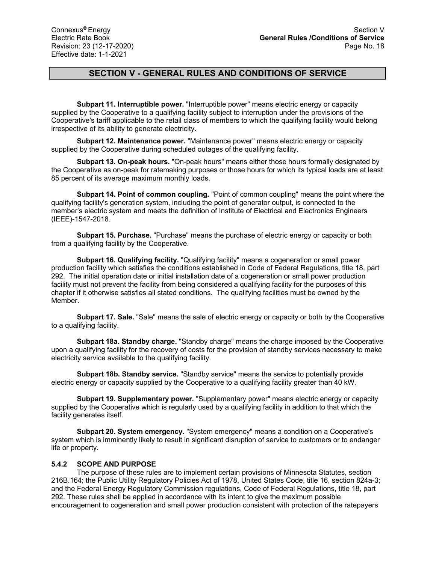**Subpart 11. Interruptible power.** "Interruptible power" means electric energy or capacity supplied by the Cooperative to a qualifying facility subject to interruption under the provisions of the Cooperative's tariff applicable to the retail class of members to which the qualifying facility would belong irrespective of its ability to generate electricity.

**Subpart 12. Maintenance power.** "Maintenance power" means electric energy or capacity supplied by the Cooperative during scheduled outages of the qualifying facility.

**Subpart 13. On-peak hours.** "On-peak hours" means either those hours formally designated by the Cooperative as on-peak for ratemaking purposes or those hours for which its typical loads are at least 85 percent of its average maximum monthly loads.

**Subpart 14. Point of common coupling.** "Point of common coupling" means the point where the qualifying facility's generation system, including the point of generator output, is connected to the member's electric system and meets the definition of Institute of Electrical and Electronics Engineers (IEEE)-1547-2018.

**Subpart 15. Purchase.** "Purchase" means the purchase of electric energy or capacity or both from a qualifying facility by the Cooperative.

**Subpart 16. Qualifying facility.** "Qualifying facility" means a cogeneration or small power production facility which satisfies the conditions established in Code of Federal Regulations, title 18, part 292. The initial operation date or initial installation date of a cogeneration or small power production facility must not prevent the facility from being considered a qualifying facility for the purposes of this chapter if it otherwise satisfies all stated conditions. The qualifying facilities must be owned by the Member.

**Subpart 17. Sale.** "Sale" means the sale of electric energy or capacity or both by the Cooperative to a qualifying facility.

**Subpart 18a. Standby charge.** "Standby charge" means the charge imposed by the Cooperative upon a qualifying facility for the recovery of costs for the provision of standby services necessary to make electricity service available to the qualifying facility.

**Subpart 18b. Standby service.** "Standby service" means the service to potentially provide electric energy or capacity supplied by the Cooperative to a qualifying facility greater than 40 kW.

**Subpart 19. Supplementary power.** "Supplementary power" means electric energy or capacity supplied by the Cooperative which is regularly used by a qualifying facility in addition to that which the facility generates itself.

**Subpart 20. System emergency.** "System emergency" means a condition on a Cooperative's system which is imminently likely to result in significant disruption of service to customers or to endanger life or property.

### **5.4.2 SCOPE AND PURPOSE**

The purpose of these rules are to implement certain provisions of Minnesota Statutes, section 216B.164; the Public Utility Regulatory Policies Act of 1978, United States Code, title 16, section 824a-3; and the Federal Energy Regulatory Commission regulations, Code of Federal Regulations, title 18, part 292. These rules shall be applied in accordance with its intent to give the maximum possible encouragement to cogeneration and small power production consistent with protection of the ratepayers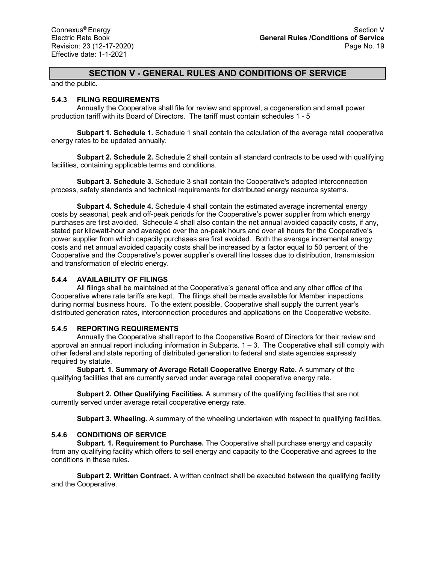and the public.

### **5.4.3 FILING REQUIREMENTS**

Annually the Cooperative shall file for review and approval, a cogeneration and small power production tariff with its Board of Directors. The tariff must contain schedules 1 - 5

**Subpart 1. Schedule 1.** Schedule 1 shall contain the calculation of the average retail cooperative energy rates to be updated annually.

**Subpart 2. Schedule 2.** Schedule 2 shall contain all standard contracts to be used with qualifying facilities, containing applicable terms and conditions.

**Subpart 3. Schedule 3.** Schedule 3 shall contain the Cooperative's adopted interconnection process, safety standards and technical requirements for distributed energy resource systems.

**Subpart 4. Schedule 4.** Schedule 4 shall contain the estimated average incremental energy costs by seasonal, peak and off-peak periods for the Cooperative's power supplier from which energy purchases are first avoided. Schedule 4 shall also contain the net annual avoided capacity costs, if any, stated per kilowatt-hour and averaged over the on-peak hours and over all hours for the Cooperative's power supplier from which capacity purchases are first avoided. Both the average incremental energy costs and net annual avoided capacity costs shall be increased by a factor equal to 50 percent of the Cooperative and the Cooperative's power supplier's overall line losses due to distribution, transmission and transformation of electric energy.

## **5.4.4 AVAILABILITY OF FILINGS**

All filings shall be maintained at the Cooperative's general office and any other office of the Cooperative where rate tariffs are kept. The filings shall be made available for Member inspections during normal business hours. To the extent possible, Cooperative shall supply the current year's distributed generation rates, interconnection procedures and applications on the Cooperative website.

### **5.4.5 REPORTING REQUIREMENTS**

Annually the Cooperative shall report to the Cooperative Board of Directors for their review and approval an annual report including information in Subparts. 1 – 3. The Cooperative shall still comply with other federal and state reporting of distributed generation to federal and state agencies expressly required by statute.

**Subpart. 1. Summary of Average Retail Cooperative Energy Rate.** A summary of the qualifying facilities that are currently served under average retail cooperative energy rate.

**Subpart 2. Other Qualifying Facilities.** A summary of the qualifying facilities that are not currently served under average retail cooperative energy rate.

**Subpart 3. Wheeling.** A summary of the wheeling undertaken with respect to qualifying facilities.

### **5.4.6 CONDITIONS OF SERVICE**

**Subpart. 1. Requirement to Purchase.** The Cooperative shall purchase energy and capacity from any qualifying facility which offers to sell energy and capacity to the Cooperative and agrees to the conditions in these rules.

**Subpart 2. Written Contract.** A written contract shall be executed between the qualifying facility and the Cooperative.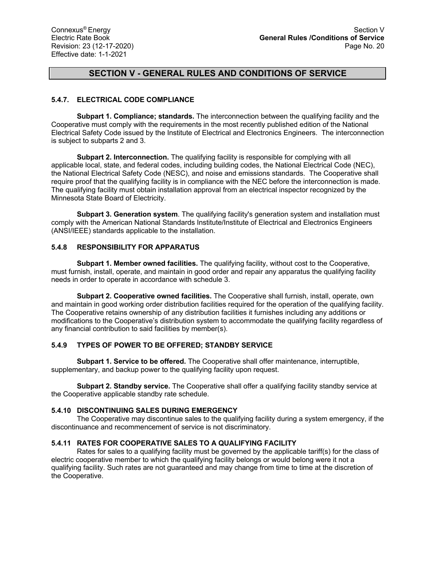## **5.4.7. ELECTRICAL CODE COMPLIANCE**

**Subpart 1. Compliance; standards.** The interconnection between the qualifying facility and the Cooperative must comply with the requirements in the most recently published edition of the National Electrical Safety Code issued by the Institute of Electrical and Electronics Engineers. The interconnection is subject to subparts 2 and 3.

**Subpart 2. Interconnection.** The qualifying facility is responsible for complying with all applicable local, state, and federal codes, including building codes, the National Electrical Code (NEC), the National Electrical Safety Code (NESC), and noise and emissions standards. The Cooperative shall require proof that the qualifying facility is in compliance with the NEC before the interconnection is made. The qualifying facility must obtain installation approval from an electrical inspector recognized by the Minnesota State Board of Electricity.

**Subpart 3. Generation system**. The qualifying facility's generation system and installation must comply with the American National Standards Institute/Institute of Electrical and Electronics Engineers (ANSI/IEEE) standards applicable to the installation.

### **5.4.8 RESPONSIBILITY FOR APPARATUS**

**Subpart 1. Member owned facilities.** The qualifying facility, without cost to the Cooperative, must furnish, install, operate, and maintain in good order and repair any apparatus the qualifying facility needs in order to operate in accordance with schedule 3.

**Subpart 2. Cooperative owned facilities.** The Cooperative shall furnish, install, operate, own and maintain in good working order distribution facilities required for the operation of the qualifying facility. The Cooperative retains ownership of any distribution facilities it furnishes including any additions or modifications to the Cooperative's distribution system to accommodate the qualifying facility regardless of any financial contribution to said facilities by member(s).

### **5.4.9 TYPES OF POWER TO BE OFFERED; STANDBY SERVICE**

**Subpart 1. Service to be offered.** The Cooperative shall offer maintenance, interruptible, supplementary, and backup power to the qualifying facility upon request.

**Subpart 2. Standby service.** The Cooperative shall offer a qualifying facility standby service at the Cooperative applicable standby rate schedule.

### **5.4.10 DISCONTINUING SALES DURING EMERGENCY**

The Cooperative may discontinue sales to the qualifying facility during a system emergency, if the discontinuance and recommencement of service is not discriminatory.

### **5.4.11 RATES FOR COOPERATIVE SALES TO A QUALIFYING FACILITY**

Rates for sales to a qualifying facility must be governed by the applicable tariff(s) for the class of electric cooperative member to which the qualifying facility belongs or would belong were it not a qualifying facility. Such rates are not guaranteed and may change from time to time at the discretion of the Cooperative.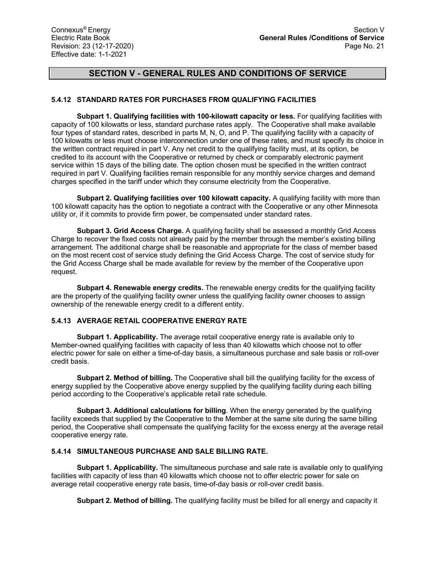## **5.4.12 STANDARD RATES FOR PURCHASES FROM QUALIFYING FACILITIES**

**Subpart 1. Qualifying facilities with 100-kilowatt capacity or less.** For qualifying facilities with capacity of 100 kilowatts or less, standard purchase rates apply. The Cooperative shall make available four types of standard rates, described in parts M, N, O, and P. The qualifying facility with a capacity of 100 kilowatts or less must choose interconnection under one of these rates, and must specify its choice in the written contract required in part V. Any net credit to the qualifying facility must, at its option, be credited to its account with the Cooperative or returned by check or comparably electronic payment service within 15 days of the billing date. The option chosen must be specified in the written contract required in part V. Qualifying facilities remain responsible for any monthly service charges and demand charges specified in the tariff under which they consume electricity from the Cooperative.

**Subpart 2. Qualifying facilities over 100 kilowatt capacity.** A qualifying facility with more than 100 kilowatt capacity has the option to negotiate a contract with the Cooperative or any other Minnesota utility or, if it commits to provide firm power, be compensated under standard rates.

**Subpart 3. Grid Access Charge.** A qualifying facility shall be assessed a monthly Grid Access Charge to recover the fixed costs not already paid by the member through the member's existing billing arrangement. The additional charge shall be reasonable and appropriate for the class of member based on the most recent cost of service study defining the Grid Access Charge. The cost of service study for the Grid Access Charge shall be made available for review by the member of the Cooperative upon request.

**Subpart 4. Renewable energy credits.** The renewable energy credits for the qualifying facility are the property of the qualifying facility owner unless the qualifying facility owner chooses to assign ownership of the renewable energy credit to a different entity.

## **5.4.13 AVERAGE RETAIL COOPERATIVE ENERGY RATE**

**Subpart 1. Applicability.** The average retail cooperative energy rate is available only to Member-owned qualifying facilities with capacity of less than 40 kilowatts which choose not to offer electric power for sale on either a time-of-day basis, a simultaneous purchase and sale basis or roll-over credit basis.

**Subpart 2. Method of billing.** The Cooperative shall bill the qualifying facility for the excess of energy supplied by the Cooperative above energy supplied by the qualifying facility during each billing period according to the Cooperative's applicable retail rate schedule.

**Subpart 3. Additional calculations for billing**. When the energy generated by the qualifying facility exceeds that supplied by the Cooperative to the Member at the same site during the same billing period, the Cooperative shall compensate the qualifying facility for the excess energy at the average retail cooperative energy rate.

## **5.4.14 SIMULTANEOUS PURCHASE AND SALE BILLING RATE.**

**Subpart 1. Applicability.** The simultaneous purchase and sale rate is available only to qualifying facilities with capacity of less than 40 kilowatts which choose not to offer electric power for sale on average retail cooperative energy rate basis, time-of-day basis or roll-over credit basis.

**Subpart 2. Method of billing.** The qualifying facility must be billed for all energy and capacity it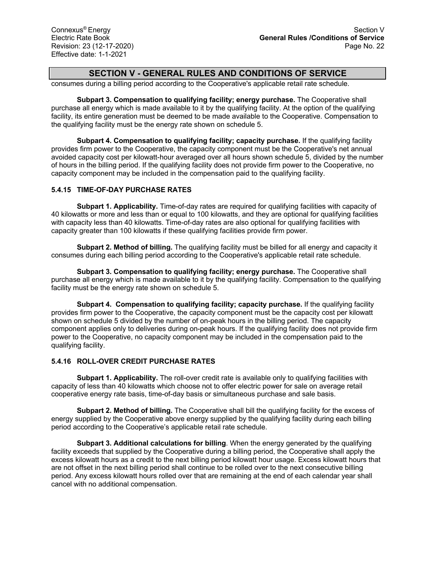consumes during a billing period according to the Cooperative's applicable retail rate schedule.

**Subpart 3. Compensation to qualifying facility; energy purchase.** The Cooperative shall purchase all energy which is made available to it by the qualifying facility. At the option of the qualifying facility, its entire generation must be deemed to be made available to the Cooperative. Compensation to the qualifying facility must be the energy rate shown on schedule 5.

**Subpart 4. Compensation to qualifying facility; capacity purchase.** If the qualifying facility provides firm power to the Cooperative, the capacity component must be the Cooperative's net annual avoided capacity cost per kilowatt-hour averaged over all hours shown schedule 5, divided by the number of hours in the billing period. If the qualifying facility does not provide firm power to the Cooperative, no capacity component may be included in the compensation paid to the qualifying facility.

## **5.4.15 TIME-OF-DAY PURCHASE RATES**

**Subpart 1. Applicability.** Time-of-day rates are required for qualifying facilities with capacity of 40 kilowatts or more and less than or equal to 100 kilowatts, and they are optional for qualifying facilities with capacity less than 40 kilowatts. Time-of-day rates are also optional for qualifying facilities with capacity greater than 100 kilowatts if these qualifying facilities provide firm power.

**Subpart 2. Method of billing.** The qualifying facility must be billed for all energy and capacity it consumes during each billing period according to the Cooperative's applicable retail rate schedule.

**Subpart 3. Compensation to qualifying facility; energy purchase.** The Cooperative shall purchase all energy which is made available to it by the qualifying facility. Compensation to the qualifying facility must be the energy rate shown on schedule 5.

**Subpart 4. Compensation to qualifying facility; capacity purchase.** If the qualifying facility provides firm power to the Cooperative, the capacity component must be the capacity cost per kilowatt shown on schedule 5 divided by the number of on-peak hours in the billing period. The capacity component applies only to deliveries during on-peak hours. If the qualifying facility does not provide firm power to the Cooperative, no capacity component may be included in the compensation paid to the qualifying facility.

## **5.4.16 ROLL-OVER CREDIT PURCHASE RATES**

**Subpart 1. Applicability.** The roll-over credit rate is available only to qualifying facilities with capacity of less than 40 kilowatts which choose not to offer electric power for sale on average retail cooperative energy rate basis, time-of-day basis or simultaneous purchase and sale basis.

**Subpart 2. Method of billing.** The Cooperative shall bill the qualifying facility for the excess of energy supplied by the Cooperative above energy supplied by the qualifying facility during each billing period according to the Cooperative's applicable retail rate schedule.

**Subpart 3. Additional calculations for billing**. When the energy generated by the qualifying facility exceeds that supplied by the Cooperative during a billing period, the Cooperative shall apply the excess kilowatt hours as a credit to the next billing period kilowatt hour usage. Excess kilowatt hours that are not offset in the next billing period shall continue to be rolled over to the next consecutive billing period. Any excess kilowatt hours rolled over that are remaining at the end of each calendar year shall cancel with no additional compensation.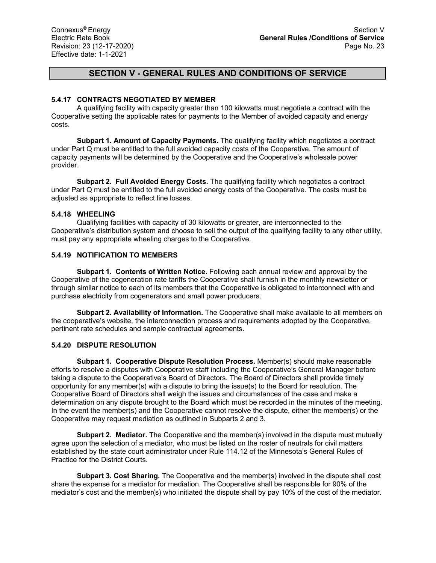### **5.4.17 CONTRACTS NEGOTIATED BY MEMBER**

A qualifying facility with capacity greater than 100 kilowatts must negotiate a contract with the Cooperative setting the applicable rates for payments to the Member of avoided capacity and energy costs.

**Subpart 1. Amount of Capacity Payments.** The qualifying facility which negotiates a contract under Part Q must be entitled to the full avoided capacity costs of the Cooperative. The amount of capacity payments will be determined by the Cooperative and the Cooperative's wholesale power provider.

**Subpart 2. Full Avoided Energy Costs.** The qualifying facility which negotiates a contract under Part Q must be entitled to the full avoided energy costs of the Cooperative. The costs must be adjusted as appropriate to reflect line losses.

### **5.4.18 WHEELING**

Qualifying facilities with capacity of 30 kilowatts or greater, are interconnected to the Cooperative's distribution system and choose to sell the output of the qualifying facility to any other utility, must pay any appropriate wheeling charges to the Cooperative.

### **5.4.19 NOTIFICATION TO MEMBERS**

**Subpart 1. Contents of Written Notice.** Following each annual review and approval by the Cooperative of the cogeneration rate tariffs the Cooperative shall furnish in the monthly newsletter or through similar notice to each of its members that the Cooperative is obligated to interconnect with and purchase electricity from cogenerators and small power producers.

**Subpart 2. Availability of Information.** The Cooperative shall make available to all members on the cooperative's website, the interconnection process and requirements adopted by the Cooperative, pertinent rate schedules and sample contractual agreements.

### **5.4.20 DISPUTE RESOLUTION**

**Subpart 1. Cooperative Dispute Resolution Process.** Member(s) should make reasonable efforts to resolve a disputes with Cooperative staff including the Cooperative's General Manager before taking a dispute to the Cooperative's Board of Directors. The Board of Directors shall provide timely opportunity for any member(s) with a dispute to bring the issue(s) to the Board for resolution. The Cooperative Board of Directors shall weigh the issues and circumstances of the case and make a determination on any dispute brought to the Board which must be recorded in the minutes of the meeting. In the event the member(s) and the Cooperative cannot resolve the dispute, either the member(s) or the Cooperative may request mediation as outlined in Subparts 2 and 3.

**Subpart 2. Mediator.** The Cooperative and the member(s) involved in the dispute must mutually agree upon the selection of a mediator, who must be listed on the roster of neutrals for civil matters established by the state court administrator under Rule 114.12 of the Minnesota's General Rules of Practice for the District Courts.

**Subpart 3. Cost Sharing.** The Cooperative and the member(s) involved in the dispute shall cost share the expense for a mediator for mediation. The Cooperative shall be responsible for 90% of the mediator's cost and the member(s) who initiated the dispute shall by pay 10% of the cost of the mediator.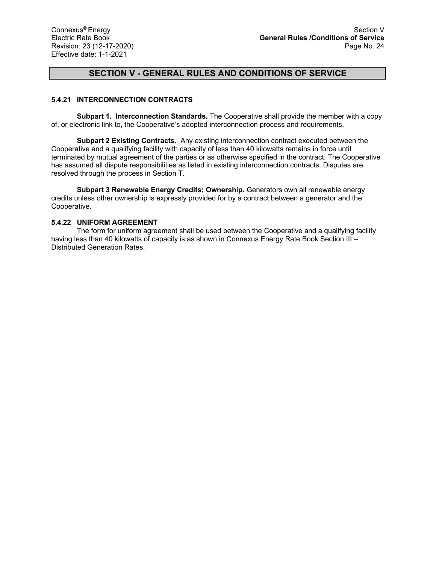## **5.4.21 INTERCONNECTION CONTRACTS**

**Subpart 1. Interconnection Standards.** The Cooperative shall provide the member with a copy of, or electronic link to, the Cooperative's adopted interconnection process and requirements.

**Subpart 2 Existing Contracts.** Any existing interconnection contract executed between the Cooperative and a qualifying facility with capacity of less than 40 kilowatts remains in force until terminated by mutual agreement of the parties or as otherwise specified in the contract. The Cooperative has assumed all dispute responsibilities as listed in existing interconnection contracts. Disputes are resolved through the process in Section T.

**Subpart 3 Renewable Energy Credits; Ownership.** Generators own all renewable energy credits unless other ownership is expressly provided for by a contract between a generator and the Cooperative.

### **5.4.22 UNIFORM AGREEMENT**

The form for uniform agreement shall be used between the Cooperative and a qualifying facility having less than 40 kilowatts of capacity is as shown in Connexus Energy Rate Book Section III – Distributed Generation Rates.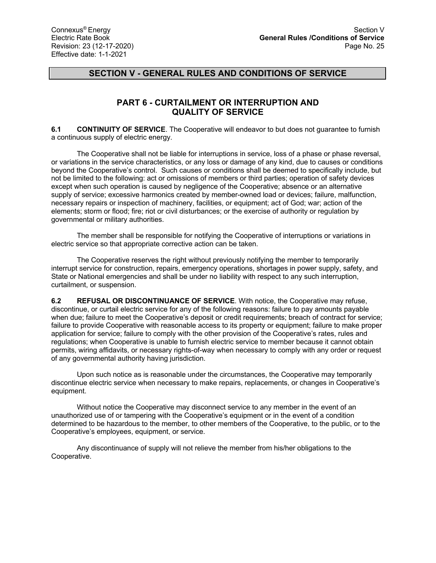## **PART 6 - CURTAILMENT OR INTERRUPTION AND QUALITY OF SERVICE**

**6.1 CONTINUITY OF SERVICE**. The Cooperative will endeavor to but does not guarantee to furnish a continuous supply of electric energy.

The Cooperative shall not be liable for interruptions in service, loss of a phase or phase reversal, or variations in the service characteristics, or any loss or damage of any kind, due to causes or conditions beyond the Cooperative's control. Such causes or conditions shall be deemed to specifically include, but not be limited to the following: act or omissions of members or third parties; operation of safety devices except when such operation is caused by negligence of the Cooperative; absence or an alternative supply of service; excessive harmonics created by member-owned load or devices; failure, malfunction, necessary repairs or inspection of machinery, facilities, or equipment; act of God; war; action of the elements; storm or flood; fire; riot or civil disturbances; or the exercise of authority or regulation by governmental or military authorities.

The member shall be responsible for notifying the Cooperative of interruptions or variations in electric service so that appropriate corrective action can be taken.

The Cooperative reserves the right without previously notifying the member to temporarily interrupt service for construction, repairs, emergency operations, shortages in power supply, safety, and State or National emergencies and shall be under no liability with respect to any such interruption, curtailment, or suspension.

**6.2 REFUSAL OR DISCONTINUANCE OF SERVICE**. With notice, the Cooperative may refuse, discontinue, or curtail electric service for any of the following reasons: failure to pay amounts payable when due; failure to meet the Cooperative's deposit or credit requirements; breach of contract for service; failure to provide Cooperative with reasonable access to its property or equipment; failure to make proper application for service; failure to comply with the other provision of the Cooperative's rates, rules and regulations; when Cooperative is unable to furnish electric service to member because it cannot obtain permits, wiring affidavits, or necessary rights-of-way when necessary to comply with any order or request of any governmental authority having jurisdiction.

Upon such notice as is reasonable under the circumstances, the Cooperative may temporarily discontinue electric service when necessary to make repairs, replacements, or changes in Cooperative's equipment.

Without notice the Cooperative may disconnect service to any member in the event of an unauthorized use of or tampering with the Cooperative's equipment or in the event of a condition determined to be hazardous to the member, to other members of the Cooperative, to the public, or to the Cooperative's employees, equipment, or service.

Any discontinuance of supply will not relieve the member from his/her obligations to the Cooperative.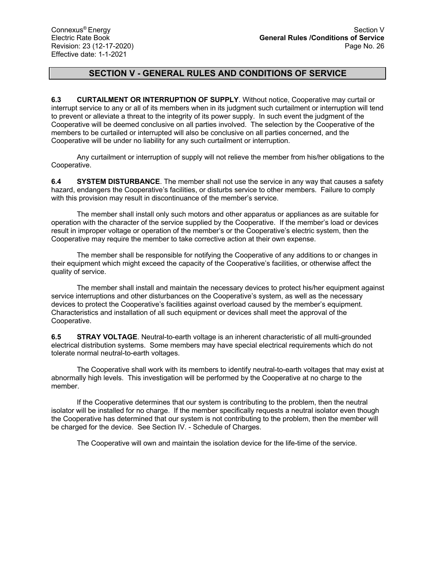**6.3 CURTAILMENT OR INTERRUPTION OF SUPPLY**. Without notice, Cooperative may curtail or interrupt service to any or all of its members when in its judgment such curtailment or interruption will tend to prevent or alleviate a threat to the integrity of its power supply. In such event the judgment of the Cooperative will be deemed conclusive on all parties involved. The selection by the Cooperative of the members to be curtailed or interrupted will also be conclusive on all parties concerned, and the Cooperative will be under no liability for any such curtailment or interruption.

Any curtailment or interruption of supply will not relieve the member from his/her obligations to the Cooperative.

**6.4 SYSTEM DISTURBANCE**. The member shall not use the service in any way that causes a safety hazard, endangers the Cooperative's facilities, or disturbs service to other members. Failure to comply with this provision may result in discontinuance of the member's service.

The member shall install only such motors and other apparatus or appliances as are suitable for operation with the character of the service supplied by the Cooperative. If the member's load or devices result in improper voltage or operation of the member's or the Cooperative's electric system, then the Cooperative may require the member to take corrective action at their own expense.

The member shall be responsible for notifying the Cooperative of any additions to or changes in their equipment which might exceed the capacity of the Cooperative's facilities, or otherwise affect the quality of service.

The member shall install and maintain the necessary devices to protect his/her equipment against service interruptions and other disturbances on the Cooperative's system, as well as the necessary devices to protect the Cooperative's facilities against overload caused by the member's equipment. Characteristics and installation of all such equipment or devices shall meet the approval of the Cooperative.

**6.5 STRAY VOLTAGE**. Neutral-to-earth voltage is an inherent characteristic of all multi-grounded electrical distribution systems. Some members may have special electrical requirements which do not tolerate normal neutral-to-earth voltages.

The Cooperative shall work with its members to identify neutral-to-earth voltages that may exist at abnormally high levels. This investigation will be performed by the Cooperative at no charge to the member.

If the Cooperative determines that our system is contributing to the problem, then the neutral isolator will be installed for no charge. If the member specifically requests a neutral isolator even though the Cooperative has determined that our system is not contributing to the problem, then the member will be charged for the device. See Section IV. - Schedule of Charges.

The Cooperative will own and maintain the isolation device for the life-time of the service.